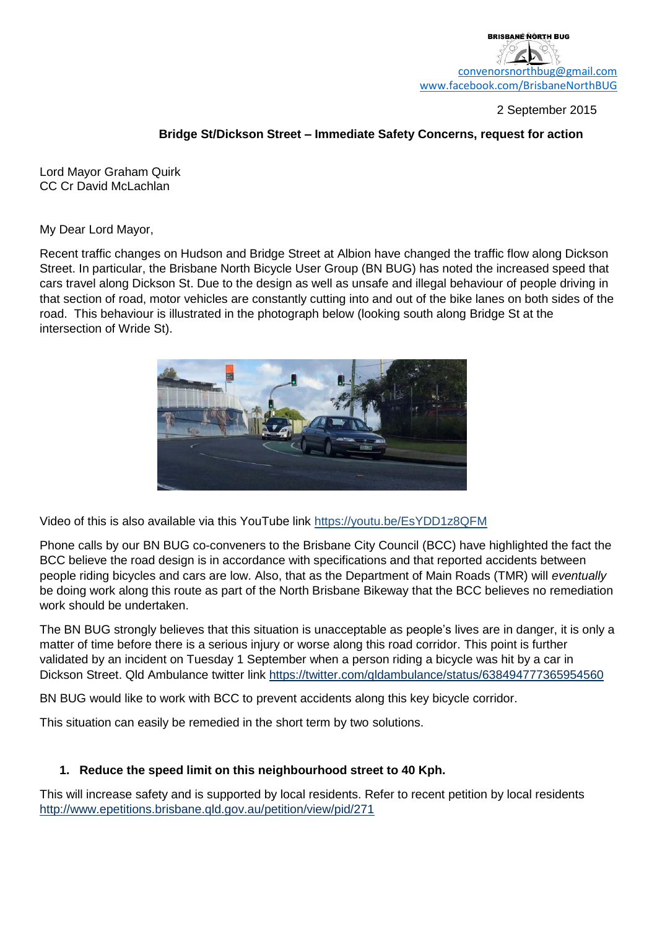2 September 2015

## **Bridge St/Dickson Street – Immediate Safety Concerns, request for action**

Lord Mayor Graham Quirk CC Cr David McLachlan

My Dear Lord Mayor,

Recent traffic changes on Hudson and Bridge Street at Albion have changed the traffic flow along Dickson Street. In particular, the Brisbane North Bicycle User Group (BN BUG) has noted the increased speed that cars travel along Dickson St. Due to the design as well as unsafe and illegal behaviour of people driving in that section of road, motor vehicles are constantly cutting into and out of the bike lanes on both sides of the road. This behaviour is illustrated in the photograph below (looking south along Bridge St at the intersection of Wride St).



Video of this is also available via this YouTube link<https://youtu.be/EsYDD1z8QFM>

Phone calls by our BN BUG co-conveners to the Brisbane City Council (BCC) have highlighted the fact the BCC believe the road design is in accordance with specifications and that reported accidents between people riding bicycles and cars are low. Also, that as the Department of Main Roads (TMR) will *eventually* be doing work along this route as part of the North Brisbane Bikeway that the BCC believes no remediation work should be undertaken.

The BN BUG strongly believes that this situation is unacceptable as people's lives are in danger, it is only a matter of time before there is a serious injury or worse along this road corridor. This point is further validated by an incident on Tuesday 1 September when a person riding a bicycle was hit by a car in Dickson Street. Qld Ambulance twitter link <https://twitter.com/qldambulance/status/638494777365954560>

BN BUG would like to work with BCC to prevent accidents along this key bicycle corridor.

This situation can easily be remedied in the short term by two solutions.

## **1. Reduce the speed limit on this neighbourhood street to 40 Kph.**

This will increase safety and is supported by local residents. Refer to recent petition by local residents <http://www.epetitions.brisbane.qld.gov.au/petition/view/pid/271>